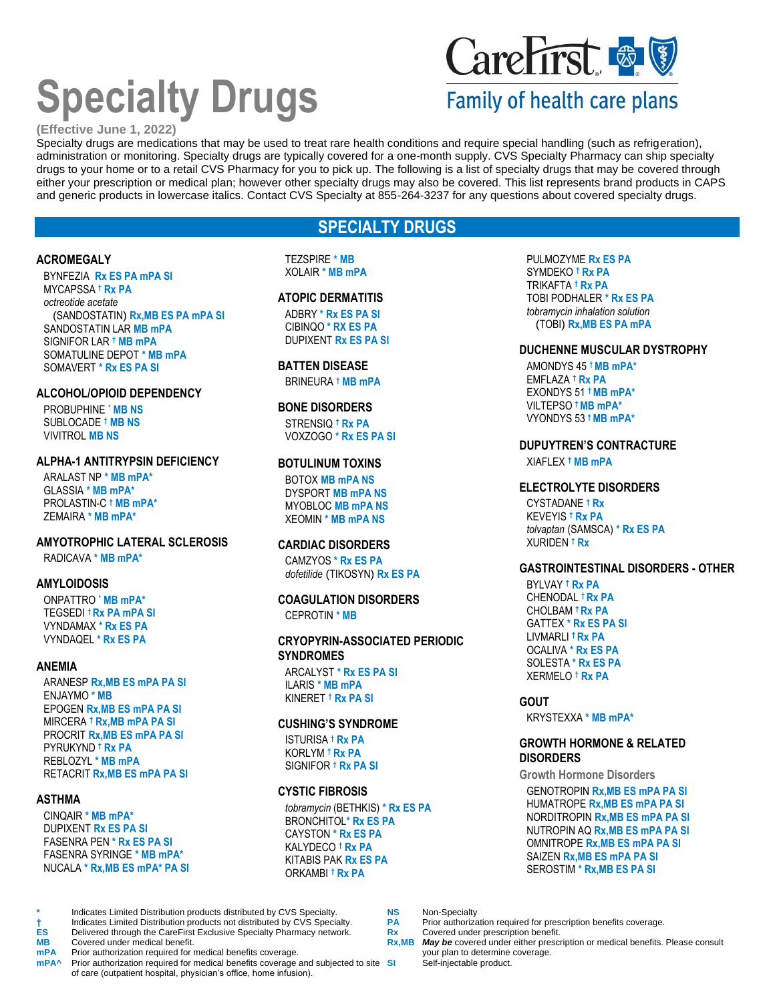# **Specialty Drugs**

## CareFirst & V

## Family of health care plans

#### **(Effective June 1, 2022)**

Specialty drugs are medications that may be used to treat rare health conditions and require special handling (such as refrigeration), administration or monitoring. Specialty drugs are typically covered for a one-month supply. CVS Specialty Pharmacy can ship specialty drugs to your home or to a retail CVS Pharmacy for you to pick up. The following is a list of specialty drugs that may be covered through either your prescription or medical plan; however other specialty drugs may also be covered. This list represents brand products in CAPS and generic products in lowercase italics. Contact CVS Specialty at 855-264-3237 for any questions about covered specialty drugs.

## **SPECIALTY DRUGS**

#### **ACROMEGALY**

BYNFEZIA **Rx ES PA mPA SI** MYCAPSSA **† Rx PA** *octreotide acetate* (SANDOSTATIN) **Rx,MB ES PA mPA SI** SANDOSTATIN LAR **MB mPA** SIGNIFOR LAR **† MB mPA** SOMATULINE DEPOT **\* MB mPA** SOMAVERT **\* Rx ES PA SI**

#### **ALCOHOL/OPIOID DEPENDENCY**

PROBUPHINE **\* MB NS** SUBLOCADE **† MB NS** VIVITROL **MB NS**

#### **ALPHA-1 ANTITRYPSIN DEFICIENCY**

ARALAST NP **\* MB mPA\*** GLASSIA **\* MB mPA\*** PROLASTIN-C **† MB mPA\*** ZEMAIRA **\* MB mPA\***

### **AMYOTROPHIC LATERAL SCLEROSIS**

RADICAVA **\* MB mPA\***

#### **AMYLOIDOSIS**

ONPATTRO **\* MB mPA\*** TEGSEDI **† Rx PA mPA SI** VYNDAMAX **\* Rx ES PA** VYNDAQEL **\* Rx ES PA**

#### **ANEMIA**

ARANESP **Rx,MB ES mPA PA SI** ENJAYMO **\* MB** EPOGEN **Rx,MB ES mPA PA SI** MIRCERA **† Rx,MB mPA PA SI** PROCRIT **Rx,MB ES mPA PA SI** PYRUKYND **† Rx PA** REBLOZYL **\* MB mPA** RETACRIT **Rx,MB ES mPA PA SI**

#### **ASTHMA**

CINQAIR **\* MB mPA\*** DUPIXENT **Rx ES PA SI** FASENRA PEN **\* Rx ES PA SI** FASENRA SYRINGE **\* MB mPA\*** NUCALA **\* Rx,MB ES mPA\* PA SI**

#### TEZSPIRE **\* MB** XOLAIR **\* MB mPA**

#### **ATOPIC DERMATITIS**

ADBRY **\* Rx ES PA SI** CIBINQO **\* RX ES PA** DUPIXENT **Rx ES PA SI**

#### **BATTEN DISEASE**

BRINEURA **† MB mPA**

#### **BONE DISORDERS**

STRENSIQ **† Rx PA** VOXZOGO **\* Rx ES PA SI**

#### **BOTULINUM TOXINS**

BOTOX **MB mPA NS** DYSPORT **MB mPA NS** MYOBLOC **MB mPA NS** XEOMIN **\* MB mPA NS**

#### **CARDIAC DISORDERS**

CAMZYOS **\* Rx ES PA** *dofetilide* (TIKOSYN) **Rx ES PA**

#### **COAGULATION DISORDERS** CEPROTIN **\* MB**

#### **CRYOPYRIN-ASSOCIATED PERIODIC SYNDROMES**

ARCALYST **\* Rx ES PA SI** ILARIS **\* MB mPA** KINERET **† Rx PA SI**

#### **CUSHING'S SYNDROME**

ISTURISA **† Rx PA** KORLYM **† Rx PA** SIGNIFOR **† Rx PA SI**

#### **CYSTIC FIBROSIS**

*tobramycin* (BETHKIS) **\* Rx ES PA** BRONCHITOL**\* Rx ES PA** CAYSTON **\* Rx ES PA** KALYDECO **† Rx PA** KITABIS PAK **Rx ES PA** ORKAMBI **† Rx PA**

PULMOZYME **Rx ES PA** SYMDEKO **† Rx PA** TRIKAFTA **† Rx PA** TOBI PODHALER **\* Rx ES PA** *tobramycin inhalation solution* (TOBI) **Rx,MB ES PA mPA**

#### **DUCHENNE MUSCULAR DYSTROPHY**

AMONDYS 45 **† MB mPA\*** EMFLAZA **† Rx PA** EXONDYS 51 **† MB mPA\*** VILTEPSO **† MB mPA\*** VYONDYS 53 **† MB mPA\***

#### **DUPUYTREN'S CONTRACTURE**

XIAFLEX **† MB mPA**

#### **ELECTROLYTE DISORDERS**

CYSTADANE **† Rx** KEVEYIS **† Rx PA** *tolvaptan* (SAMSCA) **\* Rx ES PA** XURIDEN **† Rx**

#### **GASTROINTESTINAL DISORDERS - OTHER**

BYLVAY **† Rx PA** CHENODAL **† Rx PA** CHOLBAM **† Rx PA** GATTEX **\* Rx ES PA SI** LIVMARLI **† Rx PA** OCALIVA **\* Rx ES PA** SOLESTA **\* Rx ES PA** XERMELO **† Rx PA**

#### **GOUT**

KRYSTEXXA **\* MB mPA\***

#### **GROWTH HORMONE & RELATED DISORDERS**

**Growth Hormone Disorders**

GENOTROPIN **Rx,MB ES mPA PA SI** HUMATROPE **Rx,MB ES mPA PA SI** NORDITROPIN **Rx,MB ES mPA PA SI** NUTROPIN AQ **Rx,MB ES mPA PA SI** OMNITROPE **Rx,MB ES mPA PA SI** SAIZEN **Rx,MB ES mPA PA SI** SEROSTIM **\* Rx,MB ES PA SI**

**†** Indicates Limited Distribution products not distributed by CVS Specialty. **PA** Prior authorization required for prescription benefit.<br> **ES** Delivered through the CareFirst Exclusive Specialty Pharmacy network. Rx Cover

Self-injectable product.

**MB** Covered under medical benefit. **Rx,MB** *May be* covered under either prescription or medical benefits. Please consult

**mPA** Prior authorization required for medical benefits coverage.<br> **mPA** Prior authorization required for medical benefits coverage. Prior authorization required for medical benefits coverage and subjected to site SI of care (outpatient hospital, physician's office, home infusion).

**ES** Delivered through the CareFirst Exclusive Specialty Pharmacy network. **Rx** Rx<br> **Rx,MB** Covered under medical benefit.

Indicates Limited Distribution products distributed by CVS Specialty. **NS** Non-Specialty<br>Indicates Limited Distribution products not distributed by CVS Specialty. PA Prior authorization required for prescription benefits c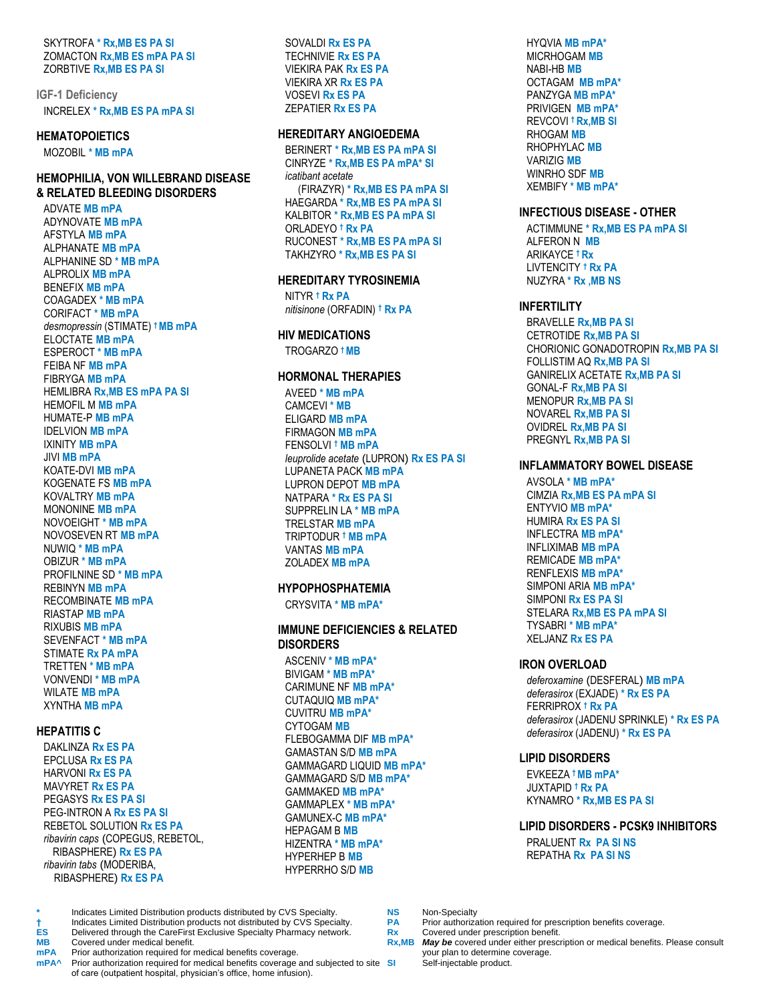SKYTROFA **\* Rx,MB ES PA SI** ZOMACTON **Rx,MB ES mPA PA SI** ZORBTIVE **Rx,MB ES PA SI**

**IGF-1 Deficiency** INCRELEX **\* Rx,MB ES PA mPA SI**

#### **HEMATOPOIETICS**

MOZOBIL **\* MB mPA**

#### **HEMOPHILIA, VON WILLEBRAND DISEASE & RELATED BLEEDING DISORDERS**

ADVATE **MB mPA** ADYNOVATE **MB mPA** AFSTYLA **MB mPA** ALPHANATE **MB mPA** ALPHANINE SD **\* MB mPA** ALPROLIX **MB mPA** BENEFIX **MB mPA** COAGADEX **\* MB mPA** CORIFACT **\* MB mPA** *desmopressin* (STIMATE) **† MB mPA** ELOCTATE **MB mPA** ESPEROCT **\* MB mPA** FEIBA NF **MB mPA** FIBRYGA **MB mPA** HEMLIBRA **Rx,MB ES mPA PA SI** HEMOFIL M **MB mPA** HUMATE-P **MB mPA** IDELVION **MB mPA** IXINITY **MB mPA** JIVI **MB mPA** KOATE-DVI **MB mPA** KOGENATE FS **MB mPA** KOVALTRY **MB mPA** MONONINE **MB mPA** NOVOEIGHT **\* MB mPA** NOVOSEVEN RT **MB mPA** NUWIQ **\* MB mPA** OBIZUR **\* MB mPA** PROFILNINE SD **\* MB mPA** REBINYN **MB mPA** RECOMBINATE **MB mPA** RIASTAP **MB mPA** RIXUBIS **MB mPA** SEVENFACT **\* MB mPA** STIMATE **Rx PA mPA** TRETTEN **\* MB mPA** VONVENDI **\* MB mPA** WILATE **MB mPA** XYNTHA **MB mPA**

### **HEPATITIS C**

DAKLINZA **Rx ES PA** EPCLUSA **Rx ES PA** HARVONI **Rx ES PA** MAVYRET **Rx ES PA** PEGASYS **Rx ES PA SI** PEG-INTRON A **Rx ES PA SI** REBETOL SOLUTION **Rx ES PA** *ribavirin caps* (COPEGUS, REBETOL, RIBASPHERE) **Rx ES PA** *ribavirin tabs* (MODERIBA, RIBASPHERE) **Rx ES PA**

SOVALDI **Rx ES PA** TECHNIVIE **Rx ES PA** VIEKIRA PAK **Rx ES PA** VIEKIRA XR **Rx ES PA** VOSEVI **Rx ES PA** ZEPATIER **Rx ES PA**

#### **HEREDITARY ANGIOEDEMA**

BERINERT **\* Rx,MB ES PA mPA SI** CINRYZE **\* Rx,MB ES PA mPA\* SI** *icatibant acetate* (FIRAZYR) **\* Rx,MB ES PA mPA SI** HAEGARDA **\* Rx,MB ES PA mPA SI** KALBITOR **\* Rx,MB ES PA mPA SI** ORLADEYO **† Rx PA**  RUCONEST **\* Rx,MB ES PA mPA SI** TAKHZYRO **\* Rx,MB ES PA SI**

#### **HEREDITARY TYROSINEMIA**

NITYR **† Rx PA** *nitisinone* (ORFADIN) **† Rx PA**

#### **HIV MEDICATIONS** TROGARZO **† MB**

#### **HORMONAL THERAPIES**

AVEED **\* MB mPA** CAMCEVI **\* MB** ELIGARD **MB mPA** FIRMAGON **MB mPA** FENSOLVI **† MB mPA** *leuprolide acetate* (LUPRON) **Rx ES PA SI** LUPANETA PACK **MB mPA** LUPRON DEPOT **MB mPA** NATPARA **\* Rx ES PA SI** SUPPRELIN LA **\* MB mPA** TRELSTAR **MB mPA** TRIPTODUR **† MB mPA** VANTAS **MB mPA** ZOLADEX **MB mPA**

## **HYPOPHOSPHATEMIA**

CRYSVITA **\* MB mPA\***

#### **IMMUNE DEFICIENCIES & RELATED DISORDERS**

ASCENIV **\* MB mPA\*** BIVIGAM **\* MB mPA\*** CARIMUNE NF **MB mPA\*** CUTAQUIQ **MB mPA\*** CUVITRU **MB mPA\*** CYTOGAM **MB**  FLEBOGAMMA DIF **MB mPA\*** GAMASTAN S/D **MB mPA** GAMMAGARD LIQUID **MB mPA\*** GAMMAGARD S/D **MB mPA\*** GAMMAKED **MB mPA\*** GAMMAPLEX **\* MB mPA\*** GAMUNEX-C **MB mPA\*** HEPAGAM B **MB** HIZENTRA **\* MB mPA\*** HYPERHEP B **MB** HYPERRHO S/D **MB**

HYQVIA **MB mPA\*** MICRHOGAM **MB** NABI-HB **MB** OCTAGAM **MB mPA\*** PANZYGA **MB mPA\*** PRIVIGEN **MB mPA\*** REVCOVI **† Rx,MB SI** RHOGAM **MB** RHOPHYLAC **MB** VARIZIG **MB** WINRHO SDF **MB** XEMBIFY **\* MB mPA\***

#### **INFECTIOUS DISEASE - OTHER**

ACTIMMUNE **\* Rx,MB ES PA mPA SI** ALFERON N **MB** ARIKAYCE **† Rx** LIVTENCITY **† Rx PA** NUZYRA **\* Rx ,MB NS**

#### **INFERTILITY**

BRAVELLE **Rx,MB PA SI** CETROTIDE **Rx,MB PA SI** CHORIONIC GONADOTROPIN **Rx,MB PA SI** FOLLISTIM AQ **Rx,MB PA SI** GANIRELIX ACETATE **Rx,MB PA SI** GONAL-F **Rx,MB PA SI** MENOPUR **Rx,MB PA SI** NOVAREL **Rx,MB PA SI** OVIDREL **Rx,MB PA SI** PREGNYL **Rx,MB PA SI**

#### **INFLAMMATORY BOWEL DISEASE**

AVSOLA **\* MB mPA\*** CIMZIA **Rx,MB ES PA mPA SI** ENTYVIO **MB mPA\*** HUMIRA **Rx ES PA SI** INFLECTRA **MB mPA\*** INFLIXIMAB **MB mPA** REMICADE **MB mPA\*** RENFLEXIS **MB mPA\*** SIMPONI ARIA **MB mPA\*** SIMPONI **Rx ES PA SI** STELARA **Rx,MB ES PA mPA SI** TYSABRI **\* MB mPA\*** XELJANZ **Rx ES PA**

#### **IRON OVERLOAD**

*deferoxamine* (DESFERAL) **MB mPA** *deferasirox* (EXJADE) **\* Rx ES PA** FERRIPROX **† Rx PA** *deferasirox* (JADENU SPRINKLE) **\* Rx ES PA** *deferasirox* (JADENU) **\* Rx ES PA**

#### **LIPID DISORDERS**

EVKEEZA **† MB mPA\*** JUXTAPID **† Rx PA** KYNAMRO **\* Rx,MB ES PA SI**

#### **LIPID DISORDERS - PCSK9 INHIBITORS**

PRALUENT **Rx PA SI NS** REPATHA **Rx PA SI NS**

**\*** Indicates Limited Distribution products distributed by CVS Specialty. **NS** Non-Specialty **†** Indicates Limited Distribution products not distributed by CVS Specialty. **PA** Prior authorization required for prescription benefit.<br> **ES** Delivered through the CareFirst Exclusive Specialty Pharmacy network. Rx Cover **ES** Delivered through the CareFirst Exclusive Specialty Pharmacy network. **Rx** Rx<br> **RX** Covered under medical benefit.

**mPA** Prior authorization required for medical benefits coverage.<br> **mPA** Prior authorization required for medical benefits coverage **Prior authorization required for medical benefits coverage and subjected to site SI** of care (outpatient hospital, physician's office, home infusion).

**MB** Covered under medical benefit. **Rx,MB** *May be* covered under either prescription or medical benefits. Please consult Self-injectable product.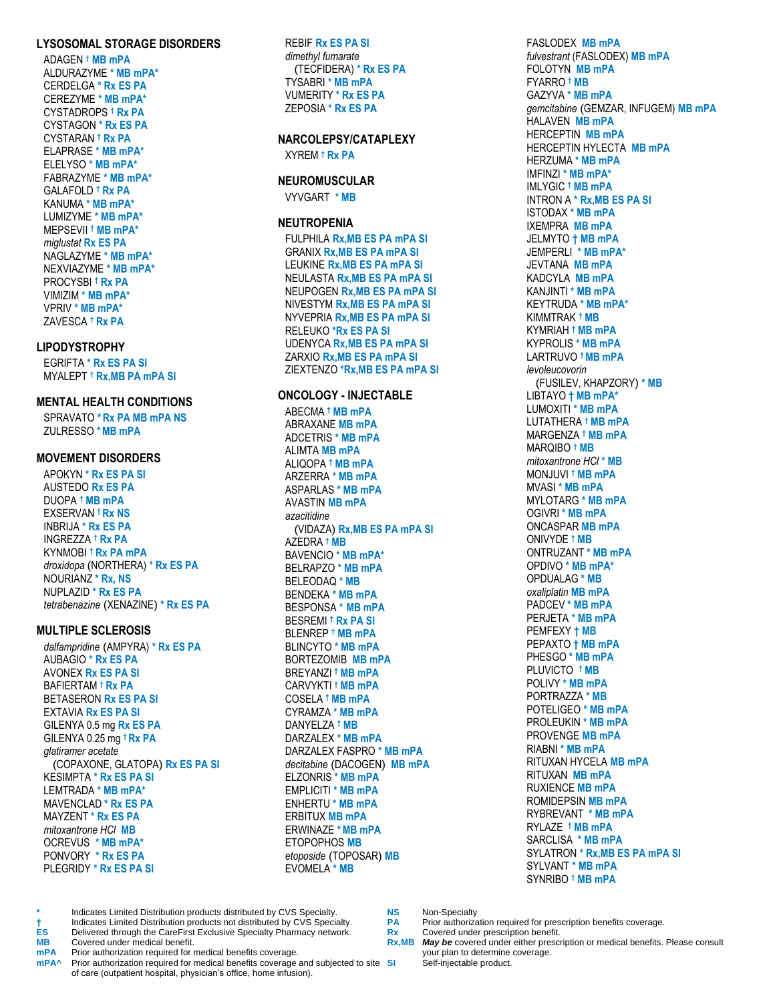#### **LYSOSOMAL STORAGE DISORDERS**

ADAGEN **† MB mPA** ALDURAZYME **\* MB mPA\*** CERDELGA **\* Rx ES PA** CEREZYME **\* MB mPA\*** CYSTADROPS **† Rx PA** CYSTAGON **\* Rx ES PA** CYSTARAN **† Rx PA** ELAPRASE **\* MB mPA\*** ELELYSO **\* MB mPA\*** FABRAZYME **\* MB mPA\*** GALAFOLD **† Rx PA** KANUMA **\* MB mPA\*** LUMIZYME **\* MB mPA\*** MEPSEVII **† MB mPA\*** *miglustat* **Rx ES PA** NAGLAZYME **\* MB mPA\*** NEXVIAZYME **\* MB mPA\*** PROCYSBI **† Rx PA** VIMIZIM **\* MB mPA\*** VPRIV **\* MB mPA\*** ZAVESCA **† Rx PA**

#### **LIPODYSTROPHY**

EGRIFTA **\* Rx ES PA SI** MYALEPT **† Rx,MB PA mPA SI**

#### **MENTAL HEALTH CONDITIONS**

SPRAVATO **\*Rx PA MB mPA NS** ZULRESSO **\*MB mPA**

#### **MOVEMENT DISORDERS**

APOKYN **\* Rx ES PA SI** AUSTEDO **Rx ES PA** DUOPA **† MB mPA** EXSERVAN **† Rx NS** INBRIJA **\* Rx ES PA** INGREZZA **† Rx PA** KYNMOBI **† Rx PA mPA** *droxidopa* (NORTHERA) **\* Rx ES PA** NOURIANZ **\* Rx, NS** NUPLAZID **\* Rx ES PA** *tetrabenazine* (XENAZINE) **\* Rx ES PA**

#### **MULTIPLE SCLEROSIS**

*dalfampridine* (AMPYRA) **\* Rx ES PA** AUBAGIO **\* Rx ES PA** AVONEX **Rx ES PA SI** BAFIERTAM **† Rx PA** BETASERON **Rx ES PA SI** EXTAVIA **Rx ES PA SI** GILENYA 0.5 mg **Rx ES PA** GILENYA 0.25 mg **† Rx PA** *glatiramer acetate* (COPAXONE, GLATOPA) **Rx ES PA SI** KESIMPTA **\* Rx ES PA SI** LEMTRADA **\* MB mPA\*** MAVENCLAD **\* Rx ES PA** MAYZENT **\* Rx ES PA** *mitoxantrone HCl* **MB** OCREVUS **\* MB mPA\*** PONVORY **\* Rx ES PA** PLEGRIDY **\* Rx ES PA SI**

REBIF **Rx ES PA SI** *dimethyl fumarate* (TECFIDERA) **\* Rx ES PA** TYSABRI **\* MB mPA** VUMERITY **\* Rx ES PA** ZEPOSIA **\* Rx ES PA**

#### **NARCOLEPSY/CATAPLEXY**

XYREM **† Rx PA**

#### **NEUROMUSCULAR**

VYVGART **\* MB**

#### **NEUTROPENIA**

FULPHILA **Rx,MB ES PA mPA SI** GRANIX **Rx,MB ES PA mPA SI** LEUKINE **Rx,MB ES PA mPA SI** NEULASTA **Rx,MB ES PA mPA SI** NEUPOGEN **Rx,MB ES PA mPA SI** NIVESTYM **Rx,MB ES PA mPA SI** NYVEPRIA **Rx,MB ES PA mPA SI** RELEUKO **\*Rx ES PA SI** UDENYCA **Rx,MB ES PA mPA SI** ZARXIO **Rx,MB ES PA mPA SI** ZIEXTENZO **\*Rx,MB ES PA mPA SI**

#### **ONCOLOGY - INJECTABLE**

ABECMA **† MB mPA** ABRAXANE **MB mPA** ADCETRIS **\* MB mPA** ALIMTA **MB mPA** ALIQOPA **† MB mPA** ARZERRA **\* MB mPA** ASPARLAS **\* MB mPA** AVASTIN **MB mPA** *azacitidine* (VIDAZA) **Rx,MB ES PA mPA SI** AZEDRA **† MB** BAVENCIO **\* MB mPA\*** BELRAPZO **\* MB mPA** BELEODAQ **\* MB** BENDEKA **\* MB mPA** BESPONSA **\* MB mPA** BESREMI **† Rx PA SI** BLENREP **† MB mPA** BLINCYTO **\* MB mPA** BORTEZOMIB **MB mPA** BREYANZI **† MB mPA** CARVYKTI **† MB mPA** COSELA **† MB mPA** CYRAMZA **\* MB mPA** DANYELZA **† MB** DARZALEX **\* MB mPA** DARZALEX FASPRO **\* MB mPA** *decitabine* (DACOGEN) **MB mPA** ELZONRIS **\* MB mPA** EMPLICITI **\* MB mPA** ENHERTU **\* MB mPA** ERBITUX **MB mPA** ERWINAZE **\*MB mPA** ETOPOPHOS **MB** *etoposide* (TOPOSAR) **MB** EVOMELA **\* MB**

FASLODEX **MB mPA** *fulvestrant* (FASLODEX) **MB mPA** FOLOTYN **MB mPA** FYARRO **† MB** GAZYVA **\* MB mPA** *gemcitabine* (GEMZAR, INFUGEM) **MB mPA** HALAVEN **MB mPA** HERCEPTIN **MB mPA** HERCEPTIN HYLECTA **MB mPA** HERZUMA **\* MB mPA** IMFINZI **\* MB mPA\*** IMLYGIC **† MB mPA** INTRON A **\* Rx,MB ES PA SI** ISTODAX **\* MB mPA** IXEMPRA **MB mPA** JELMYTO **† MB mPA** JEMPERLI **\* MB mPA\*** JEVTANA **MB mPA** KADCYLA **MB mPA** KANJINTI **\* MB mPA** KEYTRUDA **\* MB mPA\*** KIMMTRAK **† MB** KYMRIAH **† MB mPA** KYPROLIS **\* MB mPA** LARTRUVO **† MB mPA** *levoleucovorin*  (FUSILEV, KHAPZORY) **\* MB** LIBTAYO **† MB mPA\*** LUMOXITI **\* MB mPA** LUTATHERA **† MB mPA** MARGENZA **† MB mPA** MARQIBO **† MB** *mitoxantrone HCl* **\* MB** MONJUVI **† MB mPA** MVASI **\* MB mPA** MYLOTARG **\* MB mPA** OGIVRI **\* MB mPA** ONCASPAR **MB mPA** ONIVYDE **† MB** ONTRUZANT **\* MB mPA** OPDIVO **\* MB mPA\*** OPDUALAG **\* MB** *oxaliplatin* **MB mPA** PADCEV **\* MB mPA** PERJETA **\* MB mPA** PEMFEXY **† MB** PEPAXTO **† MB mPA** PHESGO **\* MB mPA** PLUVICTO **† MB** POLIVY **\* MB mPA** PORTRAZZA **\* MB** POTELIGEO **\* MB mPA** PROLEUKIN **\* MB mPA** PROVENGE **MB mPA** RIABNI **\* MB mPA** RITUXAN HYCELA **MB mPA** RITUXAN **MB mPA** RUXIENCE **MB mPA** ROMIDEPSIN **MB mPA** RYBREVANT **\* MB mPA** RYLAZE **† MB mPA** SARCLISA **\* MB mPA** SYLATRON **\* Rx,MB ES PA mPA SI** SYLVANT **\* MB mPA** SYNRIBO **† MB mPA**

Self-injectable product.

- **MB** Covered under medical benefit. **Rx,MB** *May be* covered under either prescription or medical benefits. Please consult
- **mPA** Prior authorization required for medical benefits coverage.<br> **mPA** Prior authorization required for medical benefits coverage. Prior authorization required for medical benefits coverage and subjected to site SI of care (outpatient hospital, physician's office, home infusion).

**ES** Delivered through the CareFirst Exclusive Specialty Pharmacy network. **Rx** Rx Covered under medical benefit.

**<sup>\*</sup>** Indicates Limited Distribution products distributed by CVS Specialty. **NS** Non-Specialty **†** Indicates Limited Distribution products not distributed by CVS Specialty. **PA** Prior authorization required for prescription benefit.<br> **ES** Delivered through the CareFirst Exclusive Specialty Pharmacy network. Rx Cover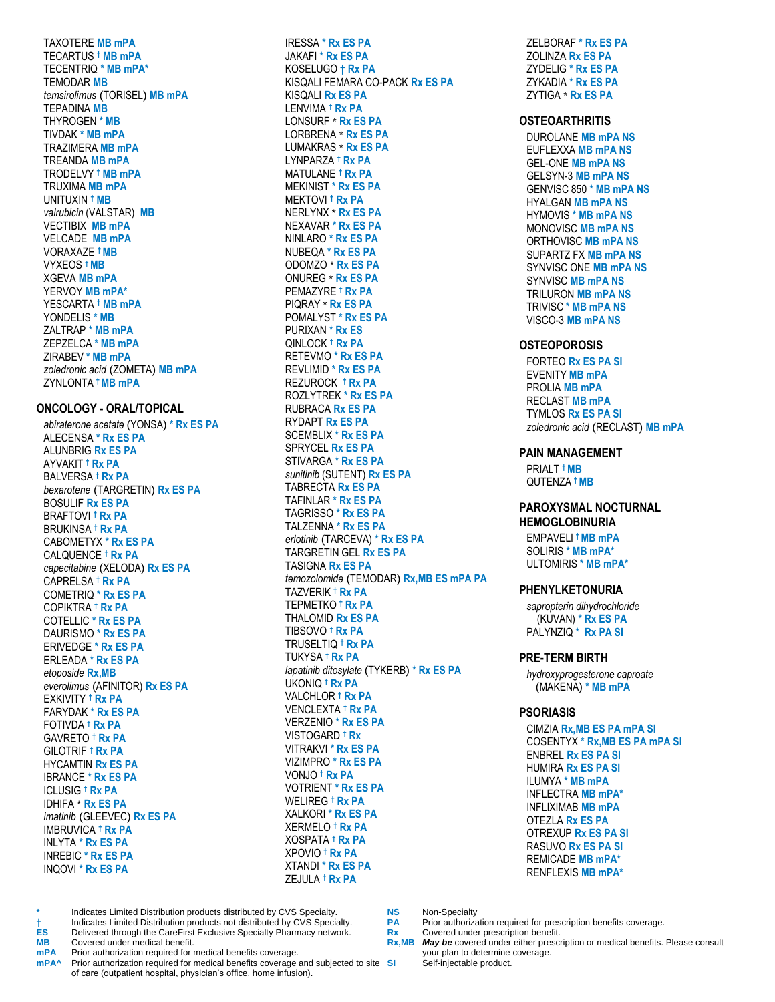**TAXOTERE MB mPA TECARTUS † MB mPA** TECENTRIQ \* MB mPA\* **TEMODAR MB** temsirolimus (TORISEL) MB mPA **TFPADINA MB THYROGEN \* MB TIVDAK \* MB mPA TRAZIMERA MB mPA TREANDA MB mPA** TRODELVY <sup>†</sup> MB mPA **TRUXIMA MB mPA** UNITUXIN <sup>†</sup> MB valrubicin (VALSTAR) MB **VECTIBIX MB mPA VELCADE MB mPA** VORAXAZE <sup>†</sup> MB **VYXEOS + MB XGEVA MB mPA** YERVOY MB mPA\* YESCARTA <sup>†</sup> MB mPA YONDELIS \* MB ZALTRAP \* MB mPA ZEPZELCA \* MB mPA ZIRABEV \* MB mPA zoledronic acid (ZOMETA) MB mPA ZYNLONTA † MB mPA

#### **ONCOLOGY - ORAL/TOPICAL**

abiraterone acetate (YONSA) \* Rx ES PA ALECENSA \* Rx ES PA **ALUNBRIG Rx ES PA** AYVAKIT <sup>†</sup> **Rx PA BALVERSA † Rx PA** bexarotene (TARGRETIN) Rx ES PA **BOSULIF Rx ES PA BRAFTOVI † Rx PA BRUKINSA † Rx PA CABOMETYX \* Rx ES PA** CALQUENCE <sup>†</sup> Rx PA capecitabine (XELODA) Rx ES PA CAPRELSA † Rx PA **COMETRIQ \* Rx ES PA COPIKTRA † Rx PA COTELLIC \* Rx ES PA** DAURISMO \* Rx ES PA **ERIVEDGE \* Rx ES PA ERLEADA \* Rx ES PA** etoposide Rx, MB everolimus (AFINITOR) Rx ES PA **EXKIVITY <sup>†</sup> Rx PA FARYDAK \* Rx ES PA** FOTIVDA † Rx PA GAVRETO <sup>†</sup> Rx PA GILOTRIF † Rx PA **HYCAMTIN Rx ES PA IBRANCE \* Rx ES PA ICLUSIG † Rx PA IDHIFA \* Rx ES PA** imatinib (GLEEVEC) Rx ES PA **IMBRUVICA † Rx PA INLYTA \* Rx ES PA INREBIC \* Rx ES PA INQOVI \* Rx ES PA** 

 $\star$ 

ĖS.

**MB** 

**IRESSA \* Rx ES PA JAKAFI \* Rx ES PA** KOSELUGO † Rx PA KISQALI FEMARA CO-PACK Rx ES PA **KISOALI Rx ES PA** I FNVIMA † Rx PA **I ONSURE \* Rx ES PA** LORBRENA \* Rx ES PA LUMAKRAS \* Rx ES PA LYNPARZA † Rx PA MATULANE <sup>†</sup> Rx PA **MEKINIST \* Rx ES PA** MEKTOVI<sup>t</sup> Rx PA NERLYNX \* Rx ES PA NEXAVAR \* Rx ES PA NINLARO \* Rx ES PA NUBEQA \* Rx ES PA ODOMZO \* Rx ES PA **ONUREG \* Rx ES PA** PEMAZYRE <sup>†</sup> Rx PA PIQRAY \* Rx ES PA POMALYST \* Rx ES PA PURIXAN \* Rx ES **OINLOCK † Rx PA RETEVMO \* Rx ES PA REVLIMID \* Rx ES PA** REZUROCK † Rx PA **ROZLYTREK \* Rx ES PA RUBRACA Rx ES PA RYDAPT Rx ES PA SCEMBLIX \* Rx ES PA SPRYCEL Rx ES PA** STIVARGA \* Rx ES PA sunitinib (SUTENT) Rx ES PA **TABRECTA Rx ES PA** TAFINLAR \* Rx ES PA TAGRISSO \* Rx ES PA TALZENNA \* Rx ES PA erlotinib (TARCEVA) \* Rx ES PA TARGRETIN GEL Rx ES PA **TASIGNA Rx ES PA** temozolomide (TEMODAR) Rx, MB ES mPA PA TAZVERIK † Rx PA **TEPMETKO † Rx PA** THALOMID Rx ES PA TIBSOVO † Rx PA **TRUSELTIQ † Rx PA** TUKYSA † **Rx PA** lapatinib ditosylate (TYKERB) \* Rx ES PA UKONIQ<sup>t</sup> Rx PA VALCHLOR <sup>†</sup> Rx PA **VENCLEXTA † Rx PA VERZENIO \* Rx ES PA** VISTOGARD † Rx **VITRAKVI \* Rx ES PA** VIZIMPRO \* Rx ES PA VONJO † Rx PA **VOTRIENT \* Rx ES PA WELIREG † Rx PA XALKORI \* Rx ES PA XERMELO † Rx PA XOSPATA † Rx PA** XPOVIO † Rx PA **XTANDI \* Rx FS PA** ZEJULA † Rx PA

ZELBORAF \* Rx ES PA ZOLINZA Rx ES PA ZYDELIG \* Rx ES PA ZYKADIA \* Rx ES PA ZYTIGA \* Rx ES PA

#### **OSTEOARTHRITIS**

**DUROLANE MB mPA NS EUFLEXXA MB mPA NS GEL-ONE MB mPA NS GELSYN-3 MB mPA NS** GENVISC 850 \* MB mPA NS **HYALGAN MB mPA NS HYMOVIS \* MB mPA NS MONOVISC MB mPA NS ORTHOVISC MB mPA NS SUPARTZ FX MB mPA NS** SYNVISC ONE MB mPA NS **SYNVISC MB mPA NS TRILURON MB mPA NS** TRIVISC \* MB mPA NS VISCO-3 MB mPA NS

#### **OSTEOPOROSIS**

**FORTEO Rx ES PA SI EVENITY MB mPA PROLIA MB mPA RECLAST MB mPA TYMLOS Rx ES PA SI** zoledronic acid (RECLAST) MB mPA

#### **PAIN MANAGEMENT**

PRIALT <sup>t</sup>MB **QUTENZA + MB** 

#### PAROXYSMAL NOCTURNAL **HEMOGLOBINURIA**

EMPAVELI<sup>t</sup>MB mPA SOLIRIS \* MB mPA\* ULTOMIRIS \* MB mPA\*

#### **PHENYLKETONURIA**

sapropterin dihydrochloride (KUVAN) \* Rx ES PA PALYNZIQ<sup>\*</sup> Rx PA SI

#### **PRE-TERM BIRTH**

hydroxyprogesterone caproate (MAKENA) \* MB mPA

#### **PSORIASIS**

CIMZIA Rx.MB ES PA mPA SI **COSENTYX \* Rx.MB ES PA mPA SI ENBREL Rx ES PA SI HUMIRA Rx ES PA SI** ILUMYA \* MB mPA INFLECTRA MB mPA\* **INFLIXIMAB MB mPA OTEZLA Rx ES PA OTREXUP Rx ES PA SI** RASUVO Rx ES PA SI **REMICADE MB mPA\* RENELEXIS MB mPA\*** 

Indicates Limited Distribution products distributed by CVS Specialty. Indicates Limited Distribution products not distributed by CVS Specialty. Delivered through the CareFirst Exclusive Specialty Pharmacy network. Covered under medical benefit.

```
Prior authorization required for medical benefits coverage.
mPA
```
mPA<sup>^</sup> Prior authorization required for medical benefits coverage and subjected to site SI of care (outpatient hospital, physician's office, home infusion).

Non-Specialty

**NS** 

- Prior authorization required for prescription benefits coverage. **PA**
- $Rx$ Covered under prescription benefit.
- Rx,MB May be covered under either prescription or medical benefits. Please consult your plan to determine coverage. Self-injectable product.